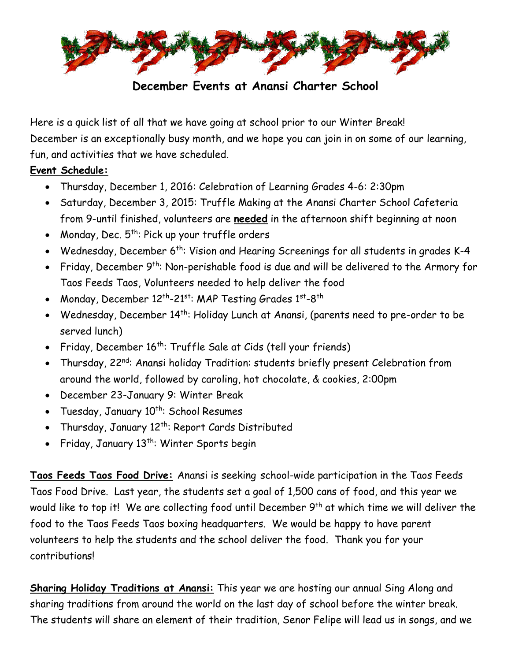

**December Events at Anansi Charter School**

Here is a quick list of all that we have going at school prior to our Winter Break! December is an exceptionally busy month, and we hope you can join in on some of our learning, fun, and activities that we have scheduled.

## **Event Schedule:**

- Thursday, December 1, 2016: Celebration of Learning Grades 4-6: 2:30pm
- Saturday, December 3, 2015: Truffle Making at the Anansi Charter School Cafeteria from 9-until finished, volunteers are **needed** in the afternoon shift beginning at noon
- Monday, Dec. 5<sup>th</sup>: Pick up your truffle orders
- Wednesday, December 6<sup>th</sup>: Vision and Hearing Screenings for all students in grades K-4
- Friday, December  $9^{th}$ : Non-perishable food is due and will be delivered to the Armory for Taos Feeds Taos, Volunteers needed to help deliver the food
- Monday, December  $12^{\text{th}}$ -21st: MAP Testing Grades  $1^{\text{st}}$ -8th
- Wednesday, December 14<sup>th</sup>: Holiday Lunch at Anansi, (parents need to pre-order to be served lunch)
- Friday, December 16<sup>th</sup>: Truffle Sale at Cids (tell your friends)
- Thursday, 22<sup>nd</sup>: Anansi holiday Tradition: students briefly present Celebration from around the world, followed by caroling, hot chocolate, & cookies, 2:00pm
- December 23-January 9: Winter Break
- Tuesday, January 10<sup>th</sup>: School Resumes
- Thursday, January 12<sup>th</sup>: Report Cards Distributed
- Friday, January 13<sup>th</sup>: Winter Sports begin

**Taos Feeds Taos Food Drive:** Anansi is seeking school-wide participation in the Taos Feeds Taos Food Drive. Last year, the students set a goal of 1,500 cans of food, and this year we would like to top it! We are collecting food until December 9<sup>th</sup> at which time we will deliver the food to the Taos Feeds Taos boxing headquarters. We would be happy to have parent volunteers to help the students and the school deliver the food. Thank you for your contributions!

**Sharing Holiday Traditions at Anansi:** This year we are hosting our annual Sing Along and sharing traditions from around the world on the last day of school before the winter break. The students will share an element of their tradition, Senor Felipe will lead us in songs, and we